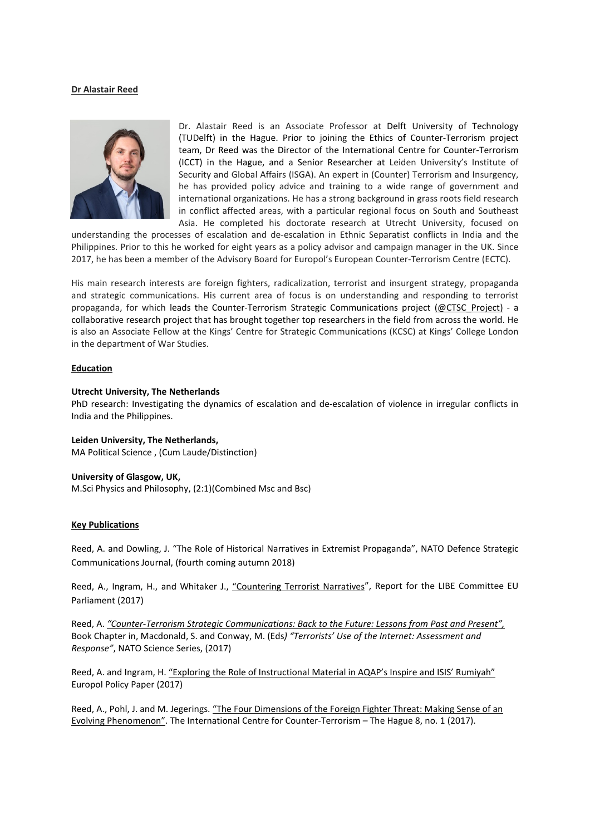# **Dr Alastair Reed**



Dr. Alastair Reed is an Associate Professor at Delft University of Technology (TUDelft) in the Hague. Prior to joining the Ethics of Counter-Terrorism project team, Dr Reed was the Director of the International Centre for Counter-Terrorism (ICCT) in the Hague, and a Senior Researcher at Leiden University's Institute of Security and Global Affairs (ISGA). An expert in (Counter) Terrorism and Insurgency, he has provided policy advice and training to a wide range of government and international organizations. He has a strong background in grass roots field research in conflict affected areas, with a particular regional focus on South and Southeast Asia. He completed his doctorate research at Utrecht University, focused on

understanding the processes of escalation and de-escalation in Ethnic Separatist conflicts in India and the Philippines. Prior to this he worked for eight years as a policy advisor and campaign manager in the UK. Since 2017, he has been a member of the Advisory Board for Europol's European Counter-Terrorism Centre (ECTC).

His main research interests are foreign fighters, radicalization, terrorist and insurgent strategy, propaganda and strategic communications. His current area of focus is on understanding and responding to terrorist propaganda, for which leads the Counter-Terrorism Strategic Communications project [\(@CTSC\\_Project\)](https://twitter.com/CTSC_Project) - a collaborative research project that has brought together top researchers in the field from across the world. He is also an Associate Fellow at the Kings' Centre for Strategic Communications (KCSC) at Kings' College London in the department of War Studies.

### **Education**

### **Utrecht University, The Netherlands**

PhD research: Investigating the dynamics of escalation and de-escalation of violence in irregular conflicts in India and the Philippines.

**Leiden University, The Netherlands,**

MA Political Science , (Cum Laude/Distinction)

#### **University of Glasgow, UK,**

M.Sci Physics and Philosophy, (2:1)(Combined Msc and Bsc)

## **Key Publications**

Reed, A. and Dowling, J. "The Role of Historical Narratives in Extremist Propaganda", NATO Defence Strategic Communications Journal, (fourth coming autumn 2018)

Reed, A., Ingram, H., and Whitaker J., ["Countering Terrorist Narratives"](https://icct.nl/wp-content/uploads/2017/11/Reed-Ingram-Whittaker-Narratives.pdf), Report for the LIBE Committee EU Parliament (2017)

Reed, A. *["Counter-Terrorism Strategic Communications: Back to the Future: Lessons from Past and Present",](https://icct.nl/publication/counter-terrorism-strategic-communications-back-to-the-future-lessons-from-past-and-present/)* Book Chapter in, Macdonald, S. and Conway, M. (Eds*) "Terrorists' Use of the Internet: Assessment and Response"*, NATO Science Series, (2017)

Reed, A. and Ingram, H. ["Exploring the Role of Instructional Material in AQAP's Inspire and ISIS' Rumiyah"](https://icct.nl/publication/exploring-the-role-of-instructional-material-in-aqaps-inspire-and-isis-rumiyah/) Europol Policy Paper (2017)

Reed, A., Pohl, J. and M. Jegerings. "The Four Dimensions of the Foreign Fighter Threat: Making Sense of an [Evolving Phenomenon".](https://icct.nl/publication/the-four-dimensions-of-the-foreign-fighter-threat-making-sense-of-an-evolving-phenomenon/) The International Centre for Counter-Terrorism – The Hague 8, no. 1 (2017).